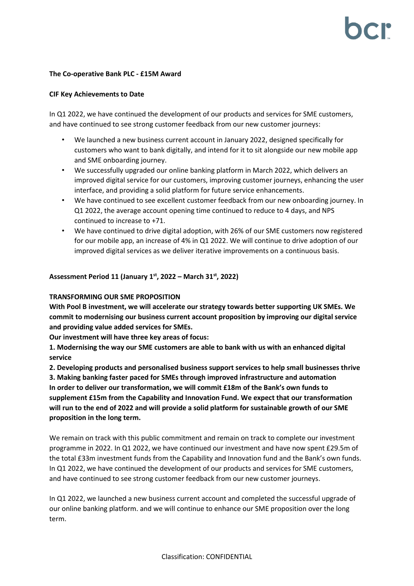### **The Co-operative Bank PLC - £15M Award**

## **CIF Key Achievements to Date**

In Q1 2022, we have continued the development of our products and services for SME customers, and have continued to see strong customer feedback from our new customer journeys:

- We launched a new business current account in January 2022, designed specifically for customers who want to bank digitally, and intend for it to sit alongside our new mobile app and SME onboarding journey.
- We successfully upgraded our online banking platform in March 2022, which delivers an improved digital service for our customers, improving customer journeys, enhancing the user interface, and providing a solid platform for future service enhancements.
- We have continued to see excellent customer feedback from our new onboarding journey. In Q1 2022, the average account opening time continued to reduce to 4 days, and NPS continued to increase to +71.
- We have continued to drive digital adoption, with 26% of our SME customers now registered for our mobile app, an increase of 4% in Q1 2022. We will continue to drive adoption of our improved digital services as we deliver iterative improvements on a continuous basis.

# **Assessment Period 11 (January 1 st, 2022 – March 31 st, 2022)**

## **TRANSFORMING OUR SME PROPOSITION**

**With Pool B investment, we will accelerate our strategy towards better supporting UK SMEs. We commit to modernising our business current account proposition by improving our digital service and providing value added services for SMEs.** 

**Our investment will have three key areas of focus:**

**1. Modernising the way our SME customers are able to bank with us with an enhanced digital service**

**2. Developing products and personalised business support services to help small businesses thrive 3. Making banking faster paced for SMEs through improved infrastructure and automation In order to deliver our transformation, we will commit £18m of the Bank's own funds to supplement £15m from the Capability and Innovation Fund. We expect that our transformation will run to the end of 2022 and will provide a solid platform for sustainable growth of our SME proposition in the long term.** 

We remain on track with this public commitment and remain on track to complete our investment programme in 2022. In Q1 2022, we have continued our investment and have now spent £29.5m of the total £33m investment funds from the Capability and Innovation fund and the Bank's own funds. In Q1 2022, we have continued the development of our products and services for SME customers, and have continued to see strong customer feedback from our new customer journeys.

In Q1 2022, we launched a new business current account and completed the successful upgrade of our online banking platform. and we will continue to enhance our SME proposition over the long term.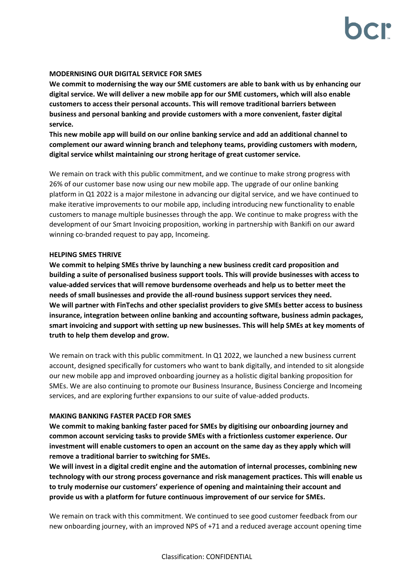## **MODERNISING OUR DIGITAL SERVICE FOR SMES**

**We commit to modernising the way our SME customers are able to bank with us by enhancing our digital service. We will deliver a new mobile app for our SME customers, which will also enable customers to access their personal accounts. This will remove traditional barriers between business and personal banking and provide customers with a more convenient, faster digital service.**

**This new mobile app will build on our online banking service and add an additional channel to complement our award winning branch and telephony teams, providing customers with modern, digital service whilst maintaining our strong heritage of great customer service.**

We remain on track with this public commitment, and we continue to make strong progress with 26% of our customer base now using our new mobile app. The upgrade of our online banking platform in Q1 2022 is a major milestone in advancing our digital service, and we have continued to make iterative improvements to our mobile app, including introducing new functionality to enable customers to manage multiple businesses through the app. We continue to make progress with the development of our Smart Invoicing proposition, working in partnership with Bankifi on our award winning co-branded request to pay app, Incomeing.

### **HELPING SMES THRIVE**

**We commit to helping SMEs thrive by launching a new business credit card proposition and building a suite of personalised business support tools. This will provide businesses with access to value-added services that will remove burdensome overheads and help us to better meet the needs of small businesses and provide the all-round business support services they need. We will partner with FinTechs and other specialist providers to give SMEs better access to business insurance, integration between online banking and accounting software, business admin packages, smart invoicing and support with setting up new businesses. This will help SMEs at key moments of truth to help them develop and grow.**

We remain on track with this public commitment. In Q1 2022, we launched a new business current account, designed specifically for customers who want to bank digitally, and intended to sit alongside our new mobile app and improved onboarding journey as a holistic digital banking proposition for SMEs. We are also continuing to promote our Business Insurance, Business Concierge and Incomeing services, and are exploring further expansions to our suite of value-added products.

# **MAKING BANKING FASTER PACED FOR SMES**

**We commit to making banking faster paced for SMEs by digitising our onboarding journey and common account servicing tasks to provide SMEs with a frictionless customer experience. Our investment will enable customers to open an account on the same day as they apply which will remove a traditional barrier to switching for SMEs.**

**We will invest in a digital credit engine and the automation of internal processes, combining new technology with our strong process governance and risk management practices. This will enable us to truly modernise our customers' experience of opening and maintaining their account and provide us with a platform for future continuous improvement of our service for SMEs.**

We remain on track with this commitment. We continued to see good customer feedback from our new onboarding journey, with an improved NPS of +71 and a reduced average account opening time